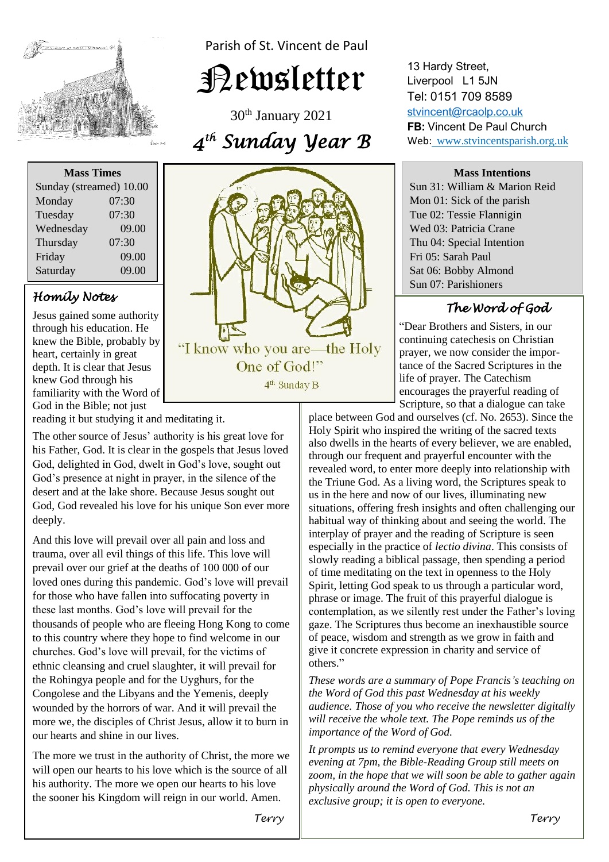

Parish of St. Vincent de Paul

Newsletter

30th January 2021 *4 th Sunday Year B* 

| <b>Mass Times</b>       |       |
|-------------------------|-------|
| Sunday (streamed) 10.00 |       |
| Monday                  | 07:30 |
| Tuesday                 | 07:30 |
| Wednesday               | 09.00 |
| Thursday                | 07:30 |
| Friday                  | 09.00 |
| Saturday                | 09.00 |

## *Homily Notes*

Jesus gained some authority through his education. He knew the Bible, probably by heart, certainly in great depth. It is clear that Jesus knew God through his familiarity with the Word of God in the Bible; not just

reading it but studying it and meditating it.

his Father, God. It is clear in the gospels that Jesus loved<br>God, delighted in God, dyielt in God's love, sought out God s presence at night in prayer, in the silence of the<br>desert and at the lake shore. Because Jesus sought out God, God revealed his love for his unique Son ever more deeply. The other source of Jesus' authority is his great love for God, delighted in God, dwelt in God's love, sought out God's presence at night in prayer, in the silence of the deeply.

And this love will prevail over all pain and loss and<br>trauma, over all evil things of this life. This love will  loved ones during this pandemic. God's love will prevail these last months. God's love will prevail for the to this country where they hope to find welcome in our abundance  $C_2$  also will general family integration of ethnic cleansing and cruel slaughter, it will prevai<br>the Rohingya people and for the Uyghurs, for the  wounded by the horrors of war. And it will prevail the our hearts and shine in our lives. And this love will prevail over all pain and loss and prevail over our grief at the deaths of 100 000 of our for those who have fallen into suffocating poverty in thousands of people who are fleeing Hong Kong to come churches. God's love will prevail, for the victims of ethnic cleansing and cruel slaughter, it will prevail for Congolese and the Libyans and the Yemenis, deeply more we, the disciples of Christ Jesus, allow it to burn in

The more we trust in the authority of Christ, the more we will open our hearts to his love which is the source of all his authority. The more we open our hearts to his love the sooner his Kingdom will reign in our world. Amen.



13 Hardy Street, Liverpool L1 5JN Tel: 0151 709 8589 [stvincent@rcaolp.co.uk](mailto:stvincent@rcaolp.co.uk) **FB:** Vincent De Paul Church Web: www.stvincentsparish.org.uk

### **Mass Intentions**

Sun 31: William & Marion Reid Mon 01: Sick of the parish Tue 02: Tessie Flannigin Wed 03: Patricia Crane Thu 04: Special Intention Fri 05: Sarah Paul Sat 06: Bobby Almond Sun 07: Parishioners

# *The Word of God*

 "Dear Brothers and Sisters, in our prayer, we now consider the impor tance of the Sacred Scriptures in the life of prayer. The Catechism encourages the prayerful reading of Scripture, so that a dialogue can take

place between God and ourselves (cf. No. 2653). Since the Holy Spirit who inspired the writing of the sacred texts also dwells in the hearts of every believer, we are enabled, through our frequent and prayerful encounter with the revealed word, to enter more deeply into relationship with the Triune God. As a living word, the Scriptures speak to us in the here and now of our lives, illuminating new situations, offering fresh insights and often challenging our habitual way of thinking about and seeing the world. The interplay of prayer and the reading of Scripture is seen especially in the practice of *lectio divina*. This consists of slowly reading a biblical passage, then spending a period of time meditating on the text in openness to the Holy Spirit, letting God speak to us through a particular word, phrase or image. The fruit of this prayerful dialogue is contemplation, as we silently rest under the Father's loving gaze. The Scriptures thus become an inexhaustible source of peace, wisdom and strength as we grow in faith and give it concrete expression in charity and service of others."

*These words are a summary of Pope Francis's teaching on the Word of God this past Wednesday at his weekly audience. Those of you who receive the newsletter digitally will receive the whole text. The Pope reminds us of the importance of the Word of God.* 

*It prompts us to remind everyone that every Wednesday evening at 7pm, the Bible-Reading Group still meets on zoom, in the hope that we will soon be able to gather again physically around the Word of God. This is not an exclusive group; it is open to everyone.*